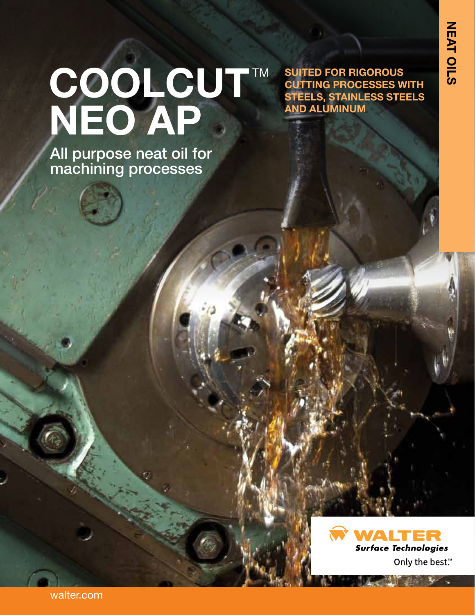# COOLCUT™ **NEO AP**

All purpose neat oil for machining processes

**SUITED FOR RIGOROUS CUTTING PROCESSES WITH STEELS, STAINLESS STEELS AND ALUMINUM**